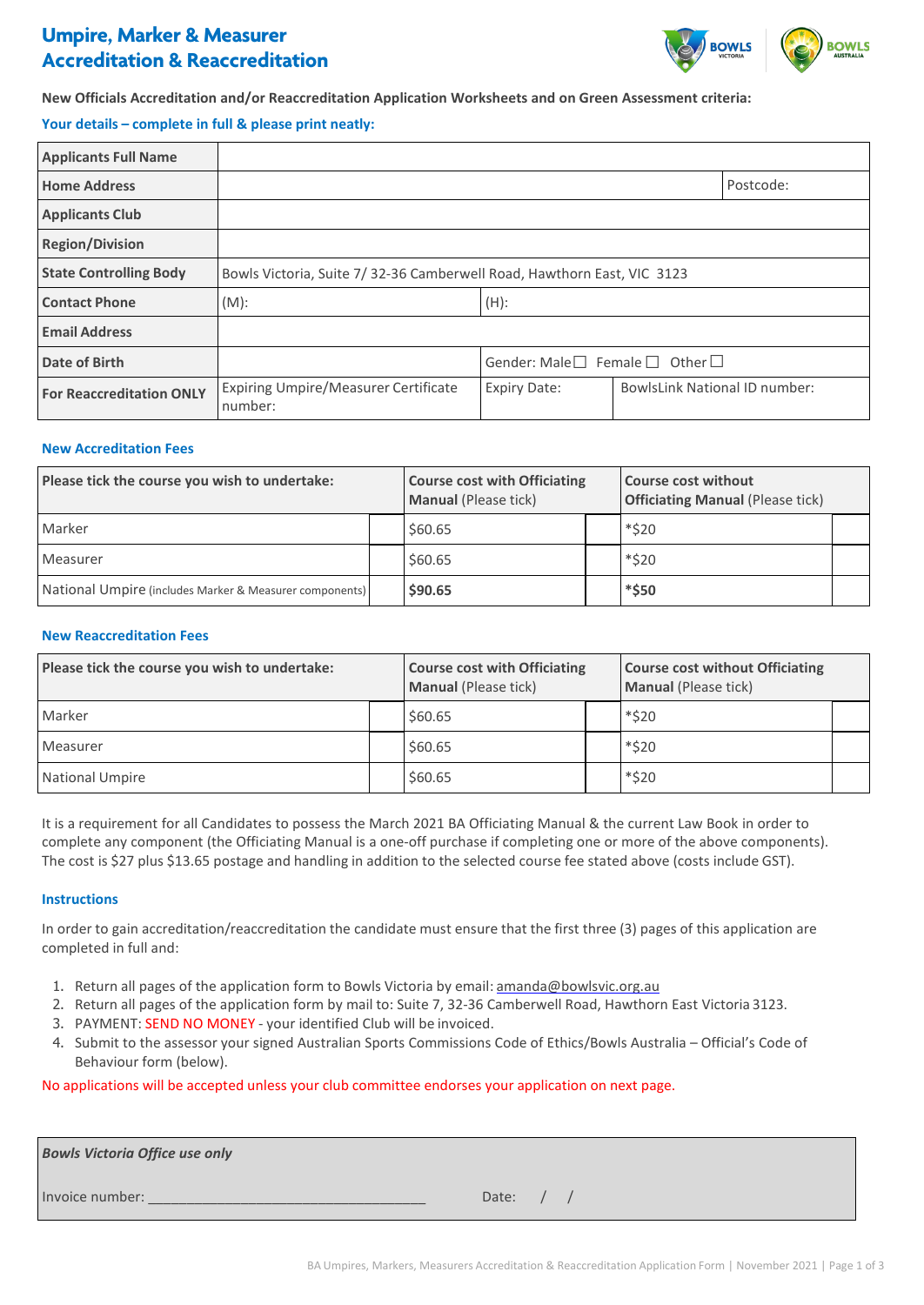# **Umpire, Marker & Measurer Accreditation & Reaccreditation**



# **New Officials Accreditation and/or Reaccreditation Application Worksheets and on Green Assessment criteria:**

## **Your details – complete in full & please print neatly:**

| <b>Applicants Full Name</b>     |                                                                         |                                                   |                                      |           |
|---------------------------------|-------------------------------------------------------------------------|---------------------------------------------------|--------------------------------------|-----------|
| <b>Home Address</b>             |                                                                         |                                                   |                                      | Postcode: |
| <b>Applicants Club</b>          |                                                                         |                                                   |                                      |           |
| <b>Region/Division</b>          |                                                                         |                                                   |                                      |           |
| <b>State Controlling Body</b>   | Bowls Victoria, Suite 7/ 32-36 Camberwell Road, Hawthorn East, VIC 3123 |                                                   |                                      |           |
| <b>Contact Phone</b>            | $(M)$ :                                                                 | $(H)$ :                                           |                                      |           |
| <b>Email Address</b>            |                                                                         |                                                   |                                      |           |
| Date of Birth                   |                                                                         | Gender: Male $\Box$ Female $\Box$<br>Other $\Box$ |                                      |           |
| <b>For Reaccreditation ONLY</b> | Expiring Umpire/Measurer Certificate<br>number:                         | <b>Expiry Date:</b>                               | <b>BowlsLink National ID number:</b> |           |

#### **New Accreditation Fees**

| Please tick the course you wish to undertake:           |  | <b>Course cost with Officiating</b><br><b>Manual (Please tick)</b> |  | <b>Course cost without</b><br><b>Officiating Manual (Please tick)</b> |  |
|---------------------------------------------------------|--|--------------------------------------------------------------------|--|-----------------------------------------------------------------------|--|
| Marker                                                  |  | \$60.65                                                            |  | *\$20                                                                 |  |
| Measurer                                                |  | \$60.65                                                            |  | *\$20                                                                 |  |
| National Umpire (includes Marker & Measurer components) |  | \$90.65                                                            |  | *\$50                                                                 |  |

### **New Reaccreditation Fees**

| Please tick the course you wish to undertake: |  | <b>Course cost with Officiating</b><br><b>Manual (Please tick)</b> |  | <b>Course cost without Officiating</b><br><b>Manual (Please tick)</b> |  |
|-----------------------------------------------|--|--------------------------------------------------------------------|--|-----------------------------------------------------------------------|--|
| Marker                                        |  | \$60.65                                                            |  | *\$20                                                                 |  |
| Measurer                                      |  | \$60.65                                                            |  | *\$20                                                                 |  |
| National Umpire                               |  | \$60.65                                                            |  | *\$20                                                                 |  |

It is a requirement for all Candidates to possess the March 2021 BA Officiating Manual & the current Law Book in order to complete any component (the Officiating Manual is a one-off purchase if completing one or more of the above components). The cost is \$27 plus \$13.65 postage and handling in addition to the selected course fee stated above (costs include GST).

#### **Instructions**

In order to gain accreditation/reaccreditation the candidate must ensure that the first three (3) pages of this application are completed in full and:

- 1. Return all pages of the application form to Bowls Victoria by email: [amanda@bowlsvic.org.au](mailto:amanda@bowlsvic.org.au)
- 2. Return all pages of the application form by mail to: Suite 7, 32-36 Camberwell Road, Hawthorn East Victoria 3123.
- 3. PAYMENT: SEND NO MONEY your identified Club will be invoiced.
- 4. Submit to the assessor your signed Australian Sports Commissions Code of Ethics/Bowls Australia Official's Code of Behaviour form (below).

#### No applications will be accepted unless your club committee endorses your application on next page.

| <b>Bowls Victoria Office use only</b> |       |
|---------------------------------------|-------|
| Invoice number:                       | Date: |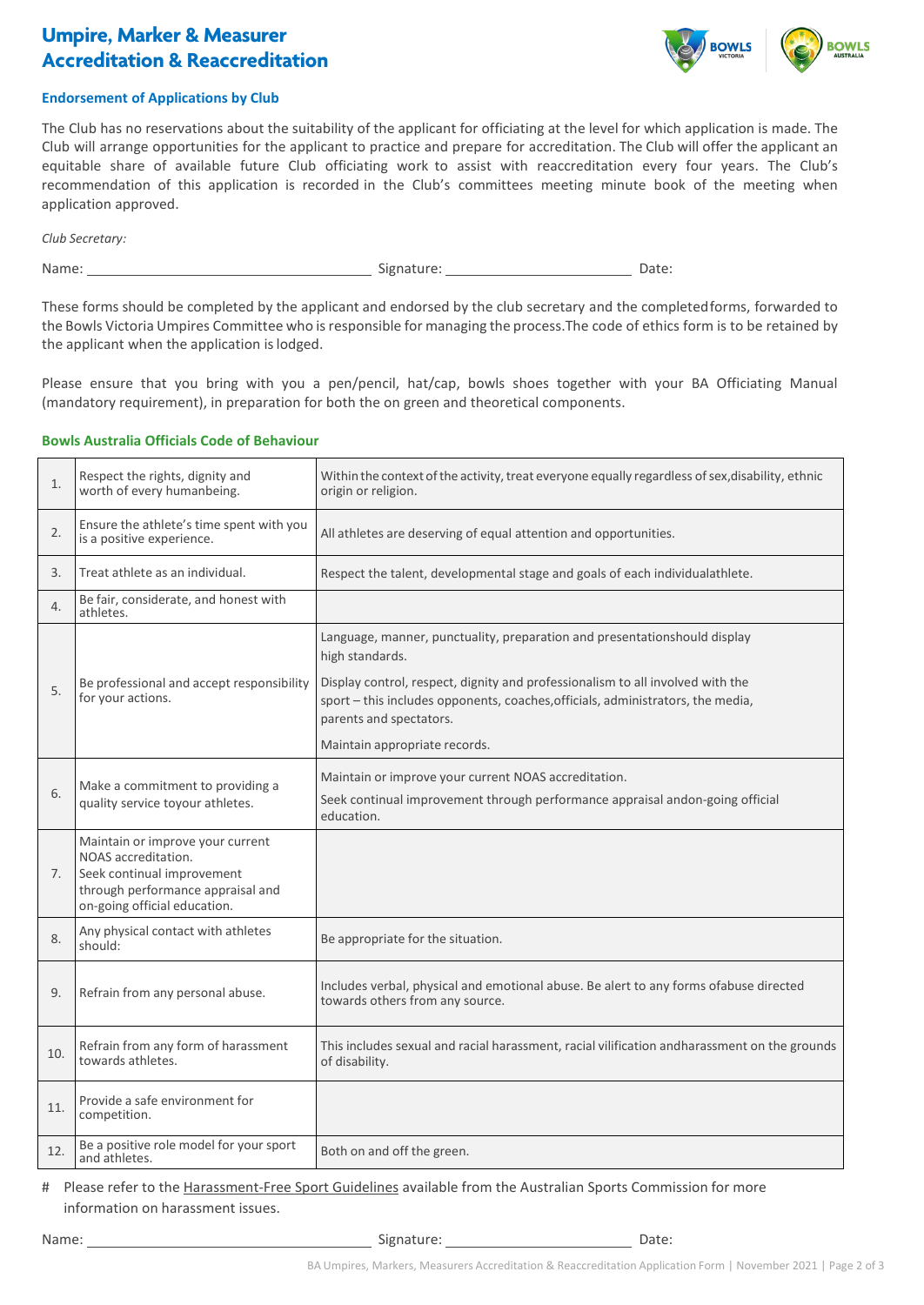# **Umpire, Marker & Measurer Accreditation & Reaccreditation**



## **Endorsement of Applications by Club**

The Club has no reservations about the suitability of the applicant for officiating at the level for which application is made. The Club will arrange opportunities for the applicant to practice and prepare for accreditation. The Club will offer the applicant an equitable share of available future Club officiating work to assist with reaccreditation every four years. The Club's recommendation of this application is recorded in the Club's committees meeting minute book of the meeting when application approved.

*Club Secretary:* 

Name: Signature: Date:

These forms should be completed by the applicant and endorsed by the club secretary and the completedforms, forwarded to the Bowls Victoria Umpires Committee who is responsible for managing the process. The code of ethics form is to be retained by the applicant when the application is lodged.

Please ensure that you bring with you a pen/pencil, hat/cap, bowls shoes together with your BA Officiating Manual (mandatory requirement), in preparation for both the on green and theoretical components.

### **Bowls Australia Officials Code of Behaviour**

| 1.             | Respect the rights, dignity and<br>worth of every humanbeing.                                                                                              | Within the context of the activity, treat everyone equally regardless of sex, disability, ethnic<br>origin or religion.                                                                      |  |  |  |
|----------------|------------------------------------------------------------------------------------------------------------------------------------------------------------|----------------------------------------------------------------------------------------------------------------------------------------------------------------------------------------------|--|--|--|
| 2.             | Ensure the athlete's time spent with you<br>is a positive experience.                                                                                      | All athletes are deserving of equal attention and opportunities.                                                                                                                             |  |  |  |
| 3.             | Treat athlete as an individual.                                                                                                                            | Respect the talent, developmental stage and goals of each individualathlete.                                                                                                                 |  |  |  |
| 4.             | Be fair, considerate, and honest with<br>athletes.                                                                                                         |                                                                                                                                                                                              |  |  |  |
|                |                                                                                                                                                            | Language, manner, punctuality, preparation and presentationshould display<br>high standards.                                                                                                 |  |  |  |
| 5.             | Be professional and accept responsibility<br>for your actions.                                                                                             | Display control, respect, dignity and professionalism to all involved with the<br>sport - this includes opponents, coaches, officials, administrators, the media,<br>parents and spectators. |  |  |  |
|                |                                                                                                                                                            | Maintain appropriate records.                                                                                                                                                                |  |  |  |
| 6.             | Make a commitment to providing a<br>quality service toyour athletes.                                                                                       | Maintain or improve your current NOAS accreditation.<br>Seek continual improvement through performance appraisal andon-going official<br>education.                                          |  |  |  |
| 7 <sub>1</sub> | Maintain or improve your current<br>NOAS accreditation.<br>Seek continual improvement<br>through performance appraisal and<br>on-going official education. |                                                                                                                                                                                              |  |  |  |
| 8.             | Any physical contact with athletes<br>should:                                                                                                              | Be appropriate for the situation.                                                                                                                                                            |  |  |  |
| 9.             | Refrain from any personal abuse.                                                                                                                           | Includes verbal, physical and emotional abuse. Be alert to any forms ofabuse directed<br>towards others from any source.                                                                     |  |  |  |
| 10.            | Refrain from any form of harassment<br>towards athletes.                                                                                                   | This includes sexual and racial harassment, racial vilification andharassment on the grounds<br>of disability.                                                                               |  |  |  |
| 11.            | Provide a safe environment for<br>competition.                                                                                                             |                                                                                                                                                                                              |  |  |  |
| 12.            | Be a positive role model for your sport<br>and athletes.                                                                                                   | Both on and off the green.                                                                                                                                                                   |  |  |  |

# Please refer to the [Harassment-Free Sport Guidelines](https://www.sportaus.gov.au/participation/inclusive_sport) available from the Australian Sports Commission for more information on harassment issues.